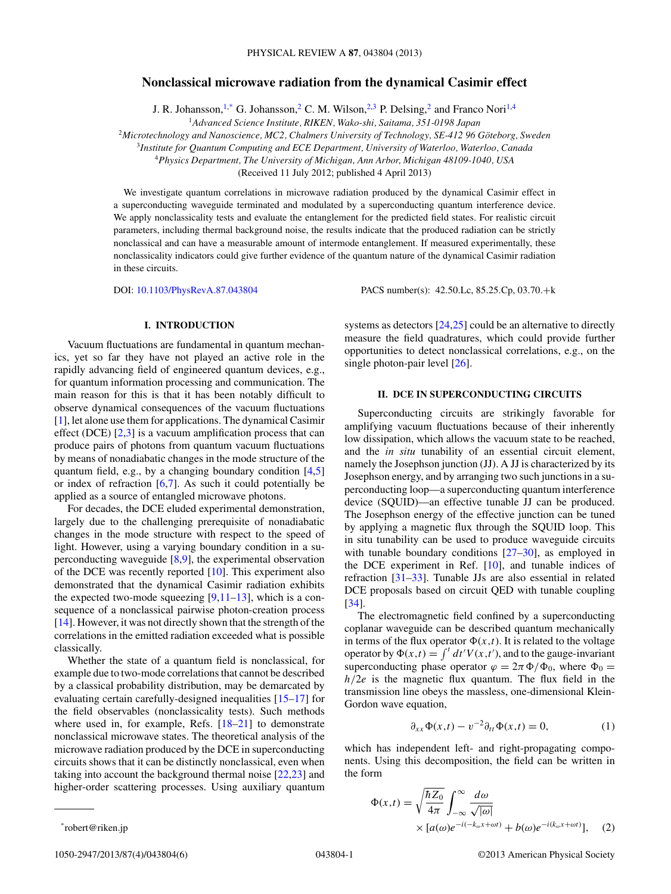# <span id="page-0-0"></span>**Nonclassical microwave radiation from the dynamical Casimir effect**

J. R. Johansson,<sup>1,\*</sup> G. Johansson,<sup>2</sup> C. M. Wilson,<sup>2,3</sup> P. Delsing,<sup>2</sup> and Franco Nori<sup>1,4</sup>

<sup>1</sup>*Advanced Science Institute, RIKEN, Wako-shi, Saitama, 351-0198 Japan*

<sup>2</sup>Microtechnology and Nanoscience, MC2, Chalmers University of Technology, SE-412 96 Göteborg, Sweden

<sup>3</sup>*Institute for Quantum Computing and ECE Department, University of Waterloo, Waterloo, Canada*

<sup>4</sup>*Physics Department, The University of Michigan, Ann Arbor, Michigan 48109-1040, USA*

(Received 11 July 2012; published 4 April 2013)

We investigate quantum correlations in microwave radiation produced by the dynamical Casimir effect in a superconducting waveguide terminated and modulated by a superconducting quantum interference device. We apply nonclassicality tests and evaluate the entanglement for the predicted field states. For realistic circuit parameters, including thermal background noise, the results indicate that the produced radiation can be strictly nonclassical and can have a measurable amount of intermode entanglement. If measured experimentally, these nonclassicality indicators could give further evidence of the quantum nature of the dynamical Casimir radiation in these circuits.

DOI: [10.1103/PhysRevA.87.043804](http://dx.doi.org/10.1103/PhysRevA.87.043804) PACS number(s): 42*.*50*.*Lc, 85*.*25*.*Cp, 03*.*70*.*+k

## **I. INTRODUCTION**

Vacuum fluctuations are fundamental in quantum mechanics, yet so far they have not played an active role in the rapidly advancing field of engineered quantum devices, e.g., for quantum information processing and communication. The main reason for this is that it has been notably difficult to observe dynamical consequences of the vacuum fluctuations [\[1\]](#page-4-0), let alone use them for applications. The dynamical Casimir effect (DCE)  $[2,3]$  is a vacuum amplification process that can produce pairs of photons from quantum vacuum fluctuations by means of nonadiabatic changes in the mode structure of the quantum field, e.g., by a changing boundary condition [\[4,5\]](#page-4-0) or index of refraction [\[6,7\]](#page-4-0). As such it could potentially be applied as a source of entangled microwave photons.

For decades, the DCE eluded experimental demonstration, largely due to the challenging prerequisite of nonadiabatic changes in the mode structure with respect to the speed of light. However, using a varying boundary condition in a superconducting waveguide [\[8,9\]](#page-4-0), the experimental observation of the DCE was recently reported [\[10\]](#page-4-0). This experiment also demonstrated that the dynamical Casimir radiation exhibits the expected two-mode squeezing  $[9,11-13]$ , which is a consequence of a nonclassical pairwise photon-creation process [\[14\]](#page-4-0). However, it was not directly shown that the strength of the correlations in the emitted radiation exceeded what is possible classically.

Whether the state of a quantum field is nonclassical, for example due to two-mode correlations that cannot be described by a classical probability distribution, may be demarcated by evaluating certain carefully-designed inequalities [\[15–17\]](#page-4-0) for the field observables (nonclassicality tests). Such methods where used in, for example, Refs. [\[18–21\]](#page-4-0) to demonstrate nonclassical microwave states. The theoretical analysis of the microwave radiation produced by the DCE in superconducting circuits shows that it can be distinctly nonclassical, even when taking into account the background thermal noise [\[22,23\]](#page-5-0) and higher-order scattering processes. Using auxiliary quantum

systems as detectors [\[24,25\]](#page-5-0) could be an alternative to directly measure the field quadratures, which could provide further opportunities to detect nonclassical correlations, e.g., on the single photon-pair level [\[26\]](#page-5-0).

# **II. DCE IN SUPERCONDUCTING CIRCUITS**

Superconducting circuits are strikingly favorable for amplifying vacuum fluctuations because of their inherently low dissipation, which allows the vacuum state to be reached, and the *in situ* tunability of an essential circuit element, namely the Josephson junction (JJ). A JJ is characterized by its Josephson energy, and by arranging two such junctions in a superconducting loop—a superconducting quantum interference device (SQUID)—an effective tunable JJ can be produced. The Josephson energy of the effective junction can be tuned by applying a magnetic flux through the SQUID loop. This in situ tunability can be used to produce waveguide circuits with tunable boundary conditions  $[27-30]$ , as employed in the DCE experiment in Ref. [\[10\]](#page-4-0), and tunable indices of refraction [\[31–33\]](#page-5-0). Tunable JJs are also essential in related DCE proposals based on circuit QED with tunable coupling [\[34\]](#page-5-0).

The electromagnetic field confined by a superconducting coplanar waveguide can be described quantum mechanically in terms of the flux operator  $\Phi(x,t)$ . It is related to the voltage operator by  $\Phi(x,t) = \int^t dt' V(x,t')$ , and to the gauge-invariant superconducting phase operator  $\varphi = 2\pi \Phi/\Phi_0$ , where  $\Phi_0 =$ *h/*2*e* is the magnetic flux quantum. The flux field in the transmission line obeys the massless, one-dimensional Klein-Gordon wave equation,

$$
\partial_{xx}\Phi(x,t) - v^{-2}\partial_{tt}\Phi(x,t) = 0, \tag{1}
$$

which has independent left- and right-propagating components. Using this decomposition, the field can be written in the form

$$
\Phi(x,t) = \sqrt{\frac{\hbar Z_0}{4\pi}} \int_{-\infty}^{\infty} \frac{d\omega}{\sqrt{|\omega|}} \times [a(\omega)e^{-i(-k_{\omega}x + \omega t)} + b(\omega)e^{-i(k_{\omega}x + \omega t)}], \quad (2)
$$

<sup>\*</sup>robert@riken.jp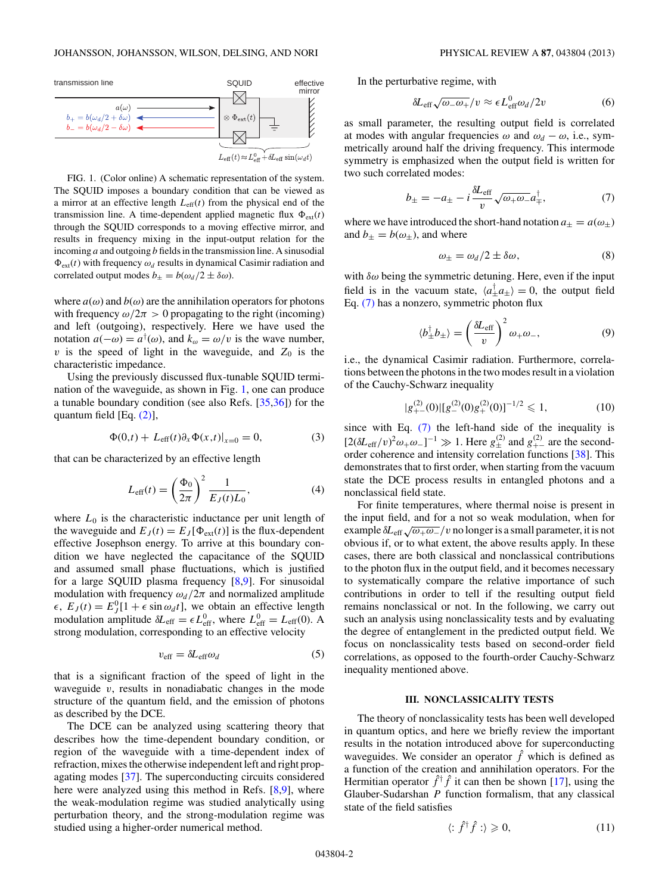<span id="page-1-0"></span>

FIG. 1. (Color online) A schematic representation of the system. The SQUID imposes a boundary condition that can be viewed as a mirror at an effective length  $L_{\text{eff}}(t)$  from the physical end of the transmission line. A time-dependent applied magnetic flux  $\Phi_{ext}(t)$ through the SQUID corresponds to a moving effective mirror, and results in frequency mixing in the input-output relation for the incoming *a* and outgoing *b* fields in the transmission line. A sinusodial  $\Phi_{ext}(t)$  with frequency  $\omega_d$  results in dynamical Casimir radiation and correlated output modes  $b_{\pm} = b(\omega_d/2 \pm \delta \omega)$ .

where  $a(\omega)$  and  $b(\omega)$  are the annihilation operators for photons with frequency  $\omega/2\pi > 0$  propagating to the right (incoming) and left (outgoing), respectively. Here we have used the notation  $a(-\omega) = a^{\dagger}(\omega)$ , and  $k_{\omega} = \omega/v$  is the wave number,  $v$  is the speed of light in the waveguide, and  $Z_0$  is the characteristic impedance.

Using the previously discussed flux-tunable SQUID termination of the waveguide, as shown in Fig. 1, one can produce a tunable boundary condition (see also Refs. [\[35,36\]](#page-5-0)) for the quantum field [Eq. [\(2\)\]](#page-0-0),

$$
\Phi(0,t) + L_{\text{eff}}(t)\partial_x \Phi(x,t)|_{x=0} = 0,\tag{3}
$$

that can be characterized by an effective length

$$
L_{\text{eff}}(t) = \left(\frac{\Phi_0}{2\pi}\right)^2 \frac{1}{E_J(t)L_0},\tag{4}
$$

where  $L_0$  is the characteristic inductance per unit length of the waveguide and  $E_J(t) = E_J[\Phi_{ext}(t)]$  is the flux-dependent effective Josephson energy. To arrive at this boundary condition we have neglected the capacitance of the SQUID and assumed small phase fluctuations, which is justified for a large SQUID plasma frequency [\[8,9\]](#page-4-0). For sinusoidal modulation with frequency  $\omega_d/2\pi$  and normalized amplitude  $\epsilon$ ,  $E_J(t) = E_J^0[1 + \epsilon \sin \omega_d t]$ , we obtain an effective length modulation amplitude  $\delta L_{\text{eff}} = \epsilon L_{\text{eff}}^0$ , where  $L_{\text{eff}}^0 = L_{\text{eff}}(0)$ . A strong modulation, corresponding to an effective velocity

$$
v_{\rm eff} = \delta L_{\rm eff} \omega_d \tag{5}
$$

that is a significant fraction of the speed of light in the waveguide *v*, results in nonadiabatic changes in the mode structure of the quantum field, and the emission of photons as described by the DCE.

The DCE can be analyzed using scattering theory that describes how the time-dependent boundary condition, or region of the waveguide with a time-dependent index of refraction, mixes the otherwise independent left and right propagating modes [\[37\]](#page-5-0). The superconducting circuits considered here were analyzed using this method in Refs. [\[8,9\]](#page-4-0), where the weak-modulation regime was studied analytically using perturbation theory, and the strong-modulation regime was studied using a higher-order numerical method.

In the perturbative regime, with

$$
\delta L_{\rm eff} \sqrt{\omega_- \omega_+}/v \approx \epsilon L_{\rm eff}^0 \omega_d/2v \tag{6}
$$

as small parameter, the resulting output field is correlated at modes with angular frequencies  $\omega$  and  $\omega_d - \omega$ , i.e., symmetrically around half the driving frequency. This intermode symmetry is emphasized when the output field is written for two such correlated modes:

$$
b_{\pm} = -a_{\pm} - i \frac{\delta L_{\text{eff}}}{v} \sqrt{\omega_{+} \omega_{-}} a_{\mp}^{\dagger}, \tag{7}
$$

where we have introduced the short-hand notation  $a_{\pm} = a(\omega_{\pm})$ and  $b_{\pm} = b(\omega_{\pm})$ , and where

$$
\omega_{\pm} = \omega_d/2 \pm \delta\omega,\tag{8}
$$

with *δω* being the symmetric detuning. Here, even if the input field is in the vacuum state,  $\langle a_{\pm}^{\dagger} a_{\pm} \rangle = 0$ , the output field Eq. (7) has a nonzero, symmetric photon flux

$$
\langle b_{\pm}^{\dagger} b_{\pm} \rangle = \left( \frac{\delta L_{\text{eff}}}{v} \right)^2 \omega_{+} \omega_{-},\tag{9}
$$

i.e., the dynamical Casimir radiation. Furthermore, correlations between the photons in the two modes result in a violation of the Cauchy-Schwarz inequality

$$
|g_{+-}^{(2)}(0)|[g_{-}^{(2)}(0)g_{+}^{(2)}(0)]^{-1/2} \leq 1,\tag{10}
$$

since with Eq. (7) the left-hand side of the inequality is  $[2(\delta L_{\text{eff}}/v)^2 \omega_+ \omega_-]^{-1}$  ≫ 1. Here  $g_{\pm}^{(2)}$  and  $g_{+-}^{(2)}$  are the secondorder coherence and intensity correlation functions [\[38\]](#page-5-0). This demonstrates that to first order, when starting from the vacuum state the DCE process results in entangled photons and a nonclassical field state.

For finite temperatures, where thermal noise is present in the input field, and for a not so weak modulation, when for example  $\delta L_{\text{eff}}\sqrt{\omega_+\omega_-}/v$  no longer is a small parameter, it is not obvious if, or to what extent, the above results apply. In these cases, there are both classical and nonclassical contributions to the photon flux in the output field, and it becomes necessary to systematically compare the relative importance of such contributions in order to tell if the resulting output field remains nonclassical or not. In the following, we carry out such an analysis using nonclassicality tests and by evaluating the degree of entanglement in the predicted output field. We focus on nonclassicality tests based on second-order field correlations, as opposed to the fourth-order Cauchy-Schwarz inequality mentioned above.

#### **III. NONCLASSICALITY TESTS**

The theory of nonclassicality tests has been well developed in quantum optics, and here we briefly review the important results in the notation introduced above for superconducting waveguides. We consider an operator  $\hat{f}$  which is defined as a function of the creation and annihilation operators. For the Hermitian operator  $\hat{f}^{\dagger} \hat{f}$  it can then be shown [\[17\]](#page-4-0), using the Glauber-Sudarshan *P* function formalism, that any classical state of the field satisfies

$$
\langle : \hat{f}^{\dagger} \hat{f} : \rangle \geqslant 0,\tag{11}
$$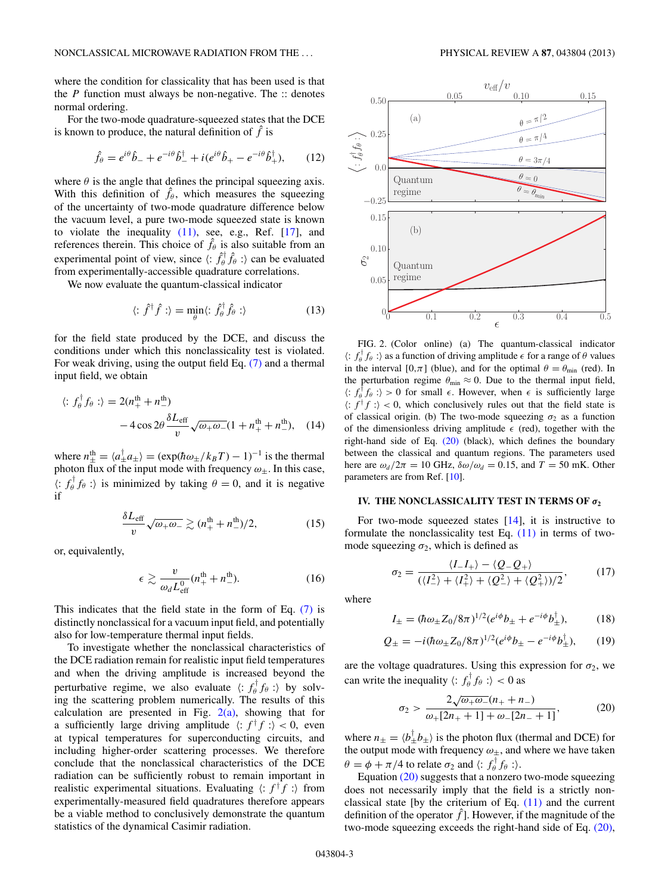<span id="page-2-0"></span>where the condition for classicality that has been used is that the *P* function must always be non-negative. The :: denotes normal ordering.

For the two-mode quadrature-squeezed states that the DCE is known to produce, the natural definition of  $\hat{f}$  is

$$
\hat{f}_{\theta} = e^{i\theta} \hat{b}_{-} + e^{-i\theta} \hat{b}_{-}^{\dagger} + i(e^{i\theta} \hat{b}_{+} - e^{-i\theta} \hat{b}_{+}^{\dagger}), \qquad (12)
$$

where  $\theta$  is the angle that defines the principal squeezing axis. With this definition of  $\hat{f}_{\theta}$ , which measures the squeezing of the uncertainty of two-mode quadrature difference below the vacuum level, a pure two-mode squeezed state is known to violate the inequality  $(11)$ , see, e.g., Ref.  $[17]$ , and references therein. This choice of  $\hat{f}_{\theta}$  is also suitable from an experimental point of view, since  $\langle : \hat{f}_{\theta}^{\dagger} \hat{f}_{\theta} : \rangle$  can be evaluated from experimentally-accessible quadrature correlations.

We now evaluate the quantum-classical indicator

$$
\langle : \hat{f}^{\dagger} \hat{f} : \rangle = \min_{\theta} \langle : \hat{f}_{\theta}^{\dagger} \hat{f}_{\theta} : \rangle \tag{13}
$$

for the field state produced by the DCE, and discuss the conditions under which this nonclassicality test is violated. For weak driving, using the output field Eq. [\(7\)](#page-1-0) and a thermal input field, we obtain

$$
\langle : f_{\theta}^{\dagger} f_{\theta} : \rangle = 2(n_{+}^{\text{th}} + n_{-}^{\text{th}})
$$

$$
- 4 \cos 2\theta \frac{\delta L_{\text{eff}}}{v} \sqrt{\omega_{+} \omega_{-}} (1 + n_{+}^{\text{th}} + n_{-}^{\text{th}}), \quad (14)
$$

where  $n_{\pm}^{\text{th}} = \langle a_{\pm}^{\dagger} a_{\pm} \rangle = (\exp(\hbar \omega_{\pm}/k_B T) - 1)^{-1}$  is the thermal photon flux of the input mode with frequency  $\omega_{\pm}$ . In this case,  $\langle : f_{\theta}^{\dagger} f_{\theta} : \rangle$  is minimized by taking  $\theta = 0$ , and it is negative if

$$
\frac{\delta L_{\text{eff}}}{v} \sqrt{\omega_+ \omega_-} \gtrsim (n_+^{\text{th}} + n_-^{\text{th}})/2,\tag{15}
$$

or, equivalently,

$$
\epsilon \gtrsim \frac{v}{\omega_d L_{\text{eff}}^0} (n_+^{\text{th}} + n_-^{\text{th}}). \tag{16}
$$

This indicates that the field state in the form of Eq. [\(7\)](#page-1-0) is distinctly nonclassical for a vacuum input field, and potentially also for low-temperature thermal input fields.

To investigate whether the nonclassical characteristics of the DCE radiation remain for realistic input field temperatures and when the driving amplitude is increased beyond the perturbative regime, we also evaluate  $\langle : f_{\theta}^{\dagger} f_{\theta} : \rangle$  by solving the scattering problem numerically. The results of this calculation are presented in Fig.  $2(a)$ , showing that for a sufficiently large driving amplitude  $\langle : f^{\dagger} f : \rangle < 0$ , even at typical temperatures for superconducting circuits, and including higher-order scattering processes. We therefore conclude that the nonclassical characteristics of the DCE radiation can be sufficiently robust to remain important in realistic experimental situations. Evaluating  $\langle : f^{\dagger} f : \rangle$  from experimentally-measured field quadratures therefore appears be a viable method to conclusively demonstrate the quantum statistics of the dynamical Casimir radiation.



FIG. 2. (Color online) (a) The quantum-classical indicator  $\langle : f_{\theta}^{\dagger} f_{\theta} : \rangle$  as a function of driving amplitude  $\epsilon$  for a range of  $\theta$  values in the interval [0, $\pi$ ] (blue), and for the optimal  $\theta = \theta_{\min}$  (red). In the perturbation regime  $\theta_{\min} \approx 0$ . Due to the thermal input field,  $\langle : f_{\theta}^{\dagger} f_{\theta} : \rangle > 0$  for small  $\epsilon$ . However, when  $\epsilon$  is sufficiently large  $\langle f | f | f : \rangle < 0$ , which conclusively rules out that the field state is of classical origin. (b) The two-mode squeezing  $\sigma_2$  as a function of the dimensionless driving amplitude  $\epsilon$  (red), together with the right-hand side of Eq. (20) (black), which defines the boundary between the classical and quantum regions. The parameters used here are  $\omega_d/2\pi = 10$  GHz,  $\delta\omega/\omega_d = 0.15$ , and  $T = 50$  mK. Other parameters are from Ref. [\[10\]](#page-4-0).

## **IV. THE NONCLASSICALITY TEST IN TERMS OF**  $\sigma_2$

For two-mode squeezed states [\[14\]](#page-4-0), it is instructive to formulate the nonclassicality test Eq.  $(11)$  in terms of twomode squeezing  $\sigma_2$ , which is defined as

$$
\sigma_2 = \frac{\langle I_- I_+ \rangle - \langle Q_- Q_+ \rangle}{(\langle I_-^2 \rangle + \langle I_+^2 \rangle + \langle Q_-^2 \rangle + \langle Q_+^2 \rangle)/2},\tag{17}
$$

where

$$
I_{\pm} = (\hbar \omega_{\pm} Z_0 / 8\pi)^{1/2} (e^{i\phi} b_{\pm} + e^{-i\phi} b_{\pm}^{\dagger}), \tag{18}
$$

$$
Q_{\pm} = -i(\hbar\omega_{\pm}Z_0/8\pi)^{1/2}(e^{i\phi}b_{\pm} - e^{-i\phi}b_{\pm}^{\dagger}), \qquad (19)
$$

are the voltage quadratures. Using this expression for  $\sigma_2$ , we can write the inequality  $\langle : f_{\theta}^{\dagger} f_{\theta} : \rangle < 0$  as

$$
\sigma_2 > \frac{2\sqrt{\omega_+ \omega_-}(n_+ + n_-)}{\omega_+ [2n_+ + 1] + \omega_- [2n_- + 1]},\tag{20}
$$

where  $n_{\pm} = \langle b_{\pm}^{\dagger} b_{\pm} \rangle$  is the photon flux (thermal and DCE) for the output mode with frequency  $\omega_{\pm}$ , and where we have taken  $\theta = \phi + \pi/4$  to relate  $\sigma_2$  and  $\langle : f_\theta^\dagger f_\theta : \rangle$ .

Equation (20) suggests that a nonzero two-mode squeezing does not necessarily imply that the field is a strictly nonclassical state [by the criterium of Eq.  $(11)$  and the current definition of the operator  $\hat{f}$ ]. However, if the magnitude of the two-mode squeezing exceeds the right-hand side of Eq. (20),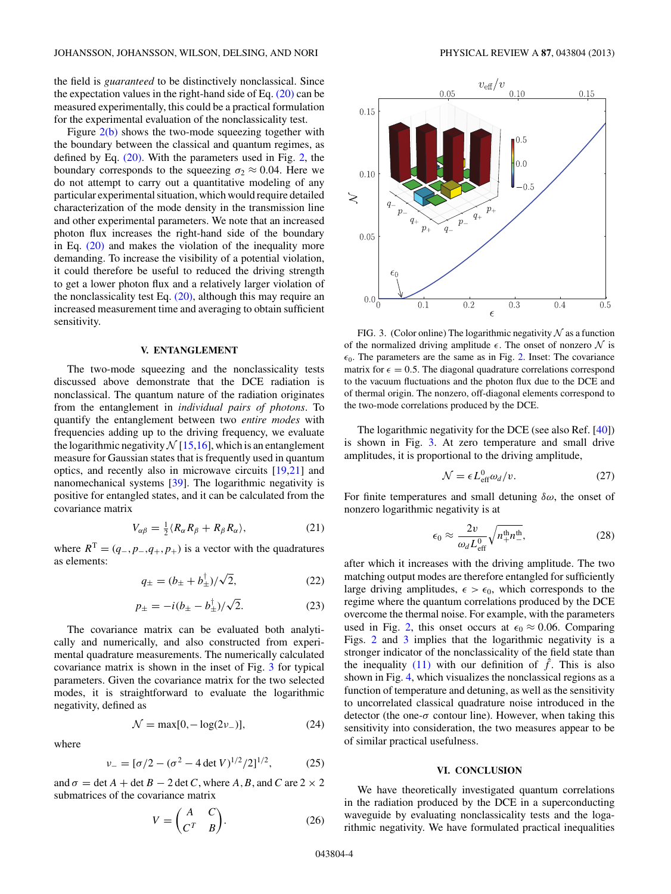the field is *guaranteed* to be distinctively nonclassical. Since the expectation values in the right-hand side of Eq.  $(20)$  can be measured experimentally, this could be a practical formulation for the experimental evaluation of the nonclassicality test.

Figure  $2(b)$  shows the two-mode squeezing together with the boundary between the classical and quantum regimes, as defined by Eq. [\(20\).](#page-2-0) With the parameters used in Fig. [2,](#page-2-0) the boundary corresponds to the squeezing  $\sigma_2 \approx 0.04$ . Here we do not attempt to carry out a quantitative modeling of any particular experimental situation, which would require detailed characterization of the mode density in the transmission line and other experimental parameters. We note that an increased photon flux increases the right-hand side of the boundary in Eq.  $(20)$  and makes the violation of the inequality more demanding. To increase the visibility of a potential violation, it could therefore be useful to reduced the driving strength to get a lower photon flux and a relatively larger violation of the nonclassicality test Eq.  $(20)$ , although this may require an increased measurement time and averaging to obtain sufficient sensitivity.

### **V. ENTANGLEMENT**

The two-mode squeezing and the nonclassicality tests discussed above demonstrate that the DCE radiation is nonclassical. The quantum nature of the radiation originates from the entanglement in *individual pairs of photons*. To quantify the entanglement between two *entire modes* with frequencies adding up to the driving frequency, we evaluate the logarithmic negativity  $N$  [\[15,16\]](#page-4-0), which is an entanglement measure for Gaussian states that is frequently used in quantum optics, and recently also in microwave circuits [\[19,21\]](#page-4-0) and nanomechanical systems [\[39\]](#page-5-0). The logarithmic negativity is positive for entangled states, and it can be calculated from the covariance matrix

$$
V_{\alpha\beta} = \frac{1}{2} \langle R_{\alpha} R_{\beta} + R_{\beta} R_{\alpha} \rangle, \tag{21}
$$

where  $R^T = (q_-, p_-, q_+, p_+)$  is a vector with the quadratures as elements:

$$
q_{\pm} = (b_{\pm} + b_{\pm}^{\dagger})/\sqrt{2},\tag{22}
$$

$$
p_{\pm} = -i(b_{\pm} - b_{\pm}^{\dagger})/\sqrt{2}.
$$
 (23)

The covariance matrix can be evaluated both analytically and numerically, and also constructed from experimental quadrature measurements. The numerically calculated covariance matrix is shown in the inset of Fig. 3 for typical parameters. Given the covariance matrix for the two selected modes, it is straightforward to evaluate the logarithmic negativity, defined as

$$
\mathcal{N} = \max[0, -\log(2\nu_-)],\tag{24}
$$

where

$$
\nu_{-} = [\sigma/2 - (\sigma^2 - 4 \det V)^{1/2}/2]^{1/2}, \tag{25}
$$

and  $\sigma = \det A + \det B - 2 \det C$ , where *A*, *B*, and *C* are 2 × 2 submatrices of the covariance matrix

$$
V = \begin{pmatrix} A & C \\ C^T & B \end{pmatrix}.
$$
 (26)



FIG. 3. (Color online) The logarithmic negativity  $N$  as a function of the normalized driving amplitude  $\epsilon$ . The onset of nonzero  $\mathcal N$  is  $\epsilon_0$ . The parameters are the same as in Fig. [2.](#page-2-0) Inset: The covariance matrix for  $\epsilon = 0.5$ . The diagonal quadrature correlations correspond to the vacuum fluctuations and the photon flux due to the DCE and of thermal origin. The nonzero, off-diagonal elements correspond to the two-mode correlations produced by the DCE.

The logarithmic negativity for the DCE (see also Ref. [\[40\]](#page-5-0)) is shown in Fig. 3. At zero temperature and small drive amplitudes, it is proportional to the driving amplitude,

$$
\mathcal{N} = \epsilon L_{\text{eff}}^0 \omega_d / v. \tag{27}
$$

For finite temperatures and small detuning *δω*, the onset of nonzero logarithmic negativity is at

$$
\epsilon_0 \approx \frac{2v}{\omega_d L_{\text{eff}}^0} \sqrt{n_+^{\text{th}} n_-^{\text{th}}},\tag{28}
$$

after which it increases with the driving amplitude. The two matching output modes are therefore entangled for sufficiently large driving amplitudes,  $\epsilon > \epsilon_0$ , which corresponds to the regime where the quantum correlations produced by the DCE overcome the thermal noise. For example, with the parameters used in Fig. [2,](#page-2-0) this onset occurs at  $\epsilon_0 \approx 0.06$ . Comparing Figs. [2](#page-2-0) and 3 implies that the logarithmic negativity is a stronger indicator of the nonclassicality of the field state than the inequality  $(11)$  with our definition of  $\hat{f}$ . This is also shown in Fig. [4,](#page-4-0) which visualizes the nonclassical regions as a function of temperature and detuning, as well as the sensitivity to uncorrelated classical quadrature noise introduced in the detector (the one- $\sigma$  contour line). However, when taking this sensitivity into consideration, the two measures appear to be of similar practical usefulness.

#### **VI. CONCLUSION**

We have theoretically investigated quantum correlations in the radiation produced by the DCE in a superconducting waveguide by evaluating nonclassicality tests and the logarithmic negativity. We have formulated practical inequalities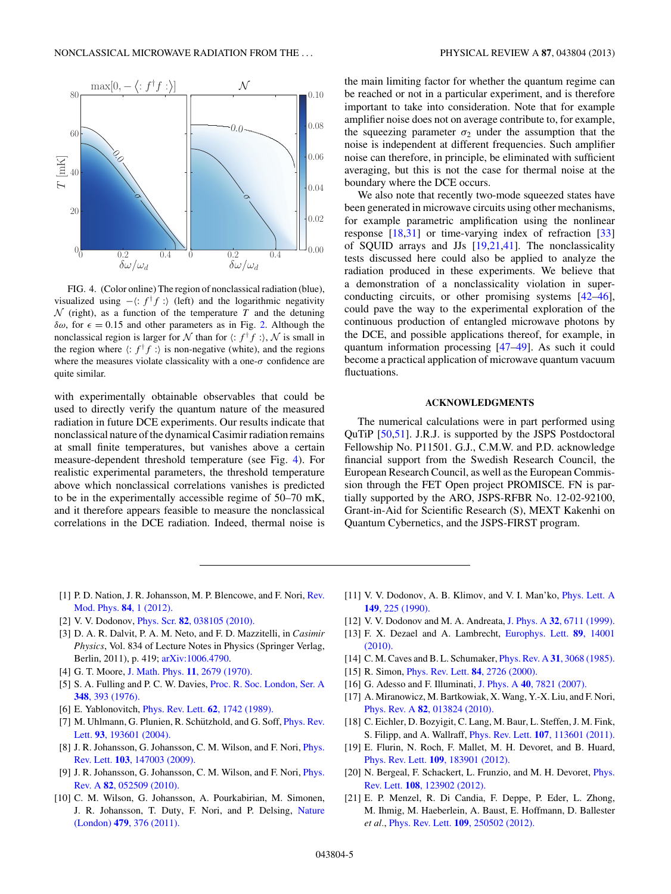<span id="page-4-0"></span>

FIG. 4. (Color online) The region of nonclassical radiation (blue), visualized using  $-\langle : f^{\dagger} f : \rangle$  (left) and the logarithmic negativity  $N$  (right), as a function of the temperature  $T$  and the detuning  $δω$ , for  $ε = 0.15$  and other parameters as in Fig. [2.](#page-2-0) Although the nonclassical region is larger for  $N$  than for  $\langle : f^{\dagger} f : \rangle$ ,  $N$  is small in the region where  $\langle : f^{\dagger} f : \rangle$  is non-negative (white), and the regions where the measures violate classicality with a one- $\sigma$  confidence are quite similar.

with experimentally obtainable observables that could be used to directly verify the quantum nature of the measured radiation in future DCE experiments. Our results indicate that nonclassical nature of the dynamical Casimir radiation remains at small finite temperatures, but vanishes above a certain measure-dependent threshold temperature (see Fig. 4). For realistic experimental parameters, the threshold temperature above which nonclassical correlations vanishes is predicted to be in the experimentally accessible regime of 50–70 mK, and it therefore appears feasible to measure the nonclassical correlations in the DCE radiation. Indeed, thermal noise is

the main limiting factor for whether the quantum regime can be reached or not in a particular experiment, and is therefore important to take into consideration. Note that for example amplifier noise does not on average contribute to, for example, the squeezing parameter  $\sigma_2$  under the assumption that the noise is independent at different frequencies. Such amplifier noise can therefore, in principle, be eliminated with sufficient averaging, but this is not the case for thermal noise at the boundary where the DCE occurs.

We also note that recently two-mode squeezed states have been generated in microwave circuits using other mechanisms, for example parametric amplification using the nonlinear response [18[,31\]](#page-5-0) or time-varying index of refraction [\[33\]](#page-5-0) of SQUID arrays and JJs [19,21[,41\]](#page-5-0). The nonclassicality tests discussed here could also be applied to analyze the radiation produced in these experiments. We believe that a demonstration of a nonclassicality violation in superconducting circuits, or other promising systems [\[42–46\]](#page-5-0), could pave the way to the experimental exploration of the continuous production of entangled microwave photons by the DCE, and possible applications thereof, for example, in quantum information processing [\[47–49\]](#page-5-0). As such it could become a practical application of microwave quantum vacuum fluctuations.

### **ACKNOWLEDGMENTS**

The numerical calculations were in part performed using QuTiP [\[50,51\]](#page-5-0). J.R.J. is supported by the JSPS Postdoctoral Fellowship No. P11501. G.J., C.M.W. and P.D. acknowledge financial support from the Swedish Research Council, the European Research Council, as well as the European Commission through the FET Open project PROMISCE. FN is partially supported by the ARO, JSPS-RFBR No. 12-02-92100, Grant-in-Aid for Scientific Research (S), MEXT Kakenhi on Quantum Cybernetics, and the JSPS-FIRST program.

- [1] P. D. Nation, J. R. Johansson, M. P. Blencowe, and F. Nori, [Rev.](http://dx.doi.org/10.1103/RevModPhys.84.1) [Mod. Phys.](http://dx.doi.org/10.1103/RevModPhys.84.1) **84**, 1 (2012).
- [2] V. V. Dodonov, Phys. Scr. **82**[, 038105 \(2010\).](http://dx.doi.org/10.1088/0031-8949/82/03/038105)
- [3] D. A. R. Dalvit, P. A. M. Neto, and F. D. Mazzitelli, in *Casimir Physics*, Vol. 834 of Lecture Notes in Physics (Springer Verlag, Berlin, 2011), p. 419; [arXiv:1006.4790.](http://arXiv.org/abs/arXiv:1006.4790)
- [4] G. T. Moore, [J. Math. Phys.](http://dx.doi.org/10.1063/1.1665432) **11**, 2679 (1970).
- [5] S. A. Fulling and P. C. W. Davies, [Proc. R. Soc. London, Ser. A](http://dx.doi.org/10.1098/rspa.1976.0045) **348**[, 393 \(1976\).](http://dx.doi.org/10.1098/rspa.1976.0045)
- [6] E. Yablonovitch, [Phys. Rev. Lett.](http://dx.doi.org/10.1103/PhysRevLett.62.1742) **62**, 1742 (1989).
- [7] M. Uhlmann, G. Plunien, R. Schützhold, and G. Soff, *[Phys. Rev.](http://dx.doi.org/10.1103/PhysRevLett.93.193601)* Lett. **93**[, 193601 \(2004\).](http://dx.doi.org/10.1103/PhysRevLett.93.193601)
- [8] J. R. Johansson, G. Johansson, C. M. Wilson, and F. Nori, *[Phys.](http://dx.doi.org/10.1103/PhysRevLett.103.147003)* Rev. Lett. **103**[, 147003 \(2009\).](http://dx.doi.org/10.1103/PhysRevLett.103.147003)
- [9] J. R. Johansson, G. Johansson, C. M. Wilson, and F. Nori, *[Phys.](http://dx.doi.org/10.1103/PhysRevA.82.052509)* Rev. A **82**[, 052509 \(2010\).](http://dx.doi.org/10.1103/PhysRevA.82.052509)
- [10] C. M. Wilson, G. Johansson, A. Pourkabirian, M. Simonen, J. R. Johansson, T. Duty, F. Nori, and P. Delsing, [Nature](http://dx.doi.org/10.1038/nature10561) (London) **479**[, 376 \(2011\).](http://dx.doi.org/10.1038/nature10561)
- [11] V. V. Dodonov, A. B. Klimov, and V. I. Man'ko, *[Phys. Lett. A](http://dx.doi.org/10.1016/0375-9601(90)90333-J)* **149**[, 225 \(1990\).](http://dx.doi.org/10.1016/0375-9601(90)90333-J)
- [12] V. V. Dodonov and M. A. Andreata, J. Phys. A **32**[, 6711 \(1999\).](http://dx.doi.org/10.1088/0305-4470/32/39/301)
- [13] F. X. Dezael and A. Lambrecht, [Europhys. Lett.](http://dx.doi.org/10.1209/0295-5075/89/14001) **89**, 14001 [\(2010\).](http://dx.doi.org/10.1209/0295-5075/89/14001)
- [14] C. M. Caves and B. L. Schumaker, Phys. Rev. A **31**[, 3068 \(1985\).](http://dx.doi.org/10.1103/PhysRevA.31.3068)
- [15] R. Simon, [Phys. Rev. Lett.](http://dx.doi.org/10.1103/PhysRevLett.84.2726) **84**, 2726 (2000).
- [16] G. Adesso and F. Illuminati, J. Phys. A **40**[, 7821 \(2007\).](http://dx.doi.org/10.1088/1751-8113/40/28/S01)
- [17] A. Miranowicz, M. Bartkowiak, X. Wang, Y.-X. Liu, and F. Nori, Phys. Rev. A **82**[, 013824 \(2010\).](http://dx.doi.org/10.1103/PhysRevA.82.013824)
- [18] C. Eichler, D. Bozyigit, C. Lang, M. Baur, L. Steffen, J. M. Fink, S. Filipp, and A. Wallraff, Phys. Rev. Lett. **107**[, 113601 \(2011\).](http://dx.doi.org/10.1103/PhysRevLett.107.113601)
- [19] E. Flurin, N. Roch, F. Mallet, M. H. Devoret, and B. Huard, Phys. Rev. Lett. **109**[, 183901 \(2012\).](http://dx.doi.org/10.1103/PhysRevLett.109.183901)
- [20] N. Bergeal, F. Schackert, L. Frunzio, and M. H. Devoret, *[Phys.](http://dx.doi.org/10.1103/PhysRevLett.108.123902)* Rev. Lett. **108**[, 123902 \(2012\).](http://dx.doi.org/10.1103/PhysRevLett.108.123902)
- [21] E. P. Menzel, R. Di Candia, F. Deppe, P. Eder, L. Zhong, M. Ihmig, M. Haeberlein, A. Baust, E. Hoffmann, D. Ballester *et al.*, Phys. Rev. Lett. **109**[, 250502 \(2012\).](http://dx.doi.org/10.1103/PhysRevLett.109.250502)